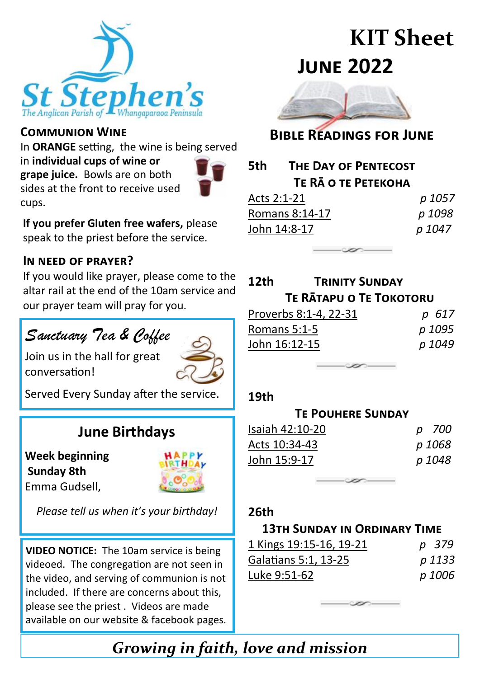

#### **Communion Wine**

In **ORANGE** setting, the wine is being served

in **individual cups of wine or grape juice.** Bowls are on both sides at the front to receive used cups.



**If you prefer Gluten free wafers,** please speak to the priest before the service.

#### **In need of prayer?**

If you would like prayer, please come to the altar rail at the end of the 10am service and our prayer team will pray for you.

# Sanctuary Tea & Coffee

Join us in the hall for great conversation!



Served Every Sunday after the service.

# **June Birthdays**

**Week beginning Sunday 8th** Emma Gudsell,



*Please tell us when it's your birthday!*

**VIDEO NOTICE:** The 10am service is being videoed. The congregation are not seen in the video, and serving of communion is not included. If there are concerns about this, please see the priest . Videos are made available on our website & facebook pages.

# **KIT Sheet June 2022**



## **Bible Readings for June**

| 5th                 | THE DAY OF PENTECOST |        |  |  |  |
|---------------------|----------------------|--------|--|--|--|
| TE RĀ O TE PETEKOHA |                      |        |  |  |  |
| Acts 2:1-21         |                      | p 1057 |  |  |  |
| Romans 8:14-17      |                      | p 1098 |  |  |  |
| John 14:8-17        |                      | p 1047 |  |  |  |

| 12th                           | <b>TRINITY SUNDAY</b> |        |  |  |
|--------------------------------|-----------------------|--------|--|--|
| <b>TE RATAPU O TE TOKOTORU</b> |                       |        |  |  |
| Proverbs 8:1-4, 22-31          |                       | 617    |  |  |
| Romans 5:1-5                   |                       | p 1095 |  |  |
| John 16:12-15                  |                       | p 1049 |  |  |
|                                |                       |        |  |  |

#### **19th**

| <b>TE POUHERE SUNDAY</b> |  |        |  |  |
|--------------------------|--|--------|--|--|
| Isaiah 42:10-20          |  | p 700  |  |  |
| Acts 10:34-43            |  | p 1068 |  |  |
| John 15:9-17             |  | p 1048 |  |  |

#### **26th**

#### **13th Sunday in Ordinary Time**

| 1 Kings 19:15-16, 19-21 | p 379  |
|-------------------------|--------|
| Galatians 5:1, 13-25    | p 1133 |
| Luke 9:51-62            | p 1006 |

*Growing in faith, love and mission*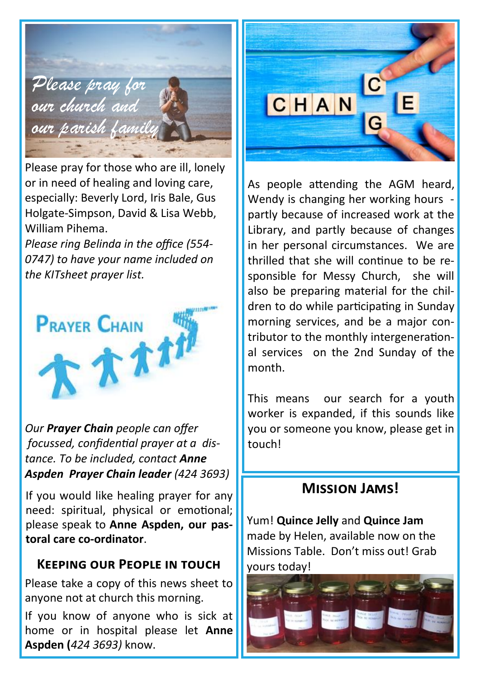

Please pray for those who are ill, lonely or in need of healing and loving care, especially: Beverly Lord, Iris Bale, Gus Holgate-Simpson, David & Lisa Webb, William Pihema.

*Please ring Belinda in the office (554- 0747) to have your name included on the KITsheet prayer list.*



*Our Prayer Chain people can offer focussed, confidential prayer at a distance. To be included, contact Anne Aspden Prayer Chain leader (424 3693)*

If you would like healing prayer for any need: spiritual, physical or emotional; please speak to **Anne Aspden, our pastoral care co-ordinator**.

## **Keeping our People in touch**

Please take a copy of this news sheet to anyone not at church this morning.

If you know of anyone who is sick at home or in hospital please let **Anne Aspden (***424 3693)* know.



As people attending the AGM heard, Wendy is changing her working hours partly because of increased work at the Library, and partly because of changes in her personal circumstances. We are thrilled that she will continue to be responsible for Messy Church, she will also be preparing material for the children to do while participating in Sunday morning services, and be a major contributor to the monthly intergenerational services on the 2nd Sunday of the month.

This means our search for a youth worker is expanded, if this sounds like you or someone you know, please get in touch!

# **Mission Jams!**

Yum! **Quince Jelly** and **Quince Jam**  made by Helen, available now on the Missions Table. Don't miss out! Grab yours today!

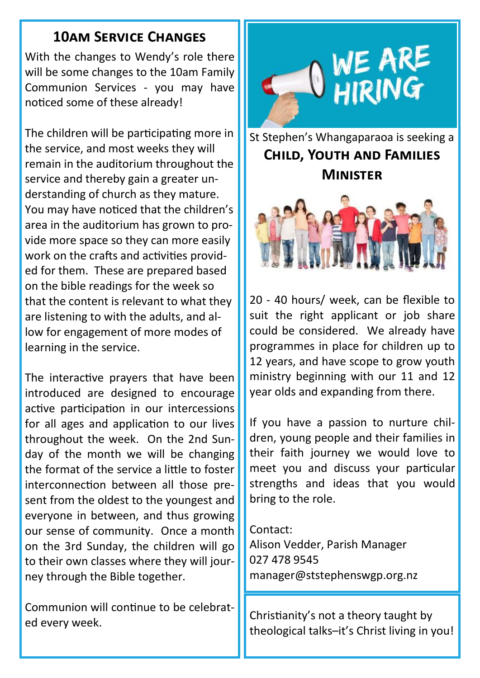# **10am Service Changes**

With the changes to Wendy's role there will be some changes to the 10am Family Communion Services - you may have noticed some of these already!

The children will be participating more in the service, and most weeks they will remain in the auditorium throughout the service and thereby gain a greater understanding of church as they mature. You may have noticed that the children's area in the auditorium has grown to provide more space so they can more easily work on the crafts and activities provided for them. These are prepared based on the bible readings for the week so that the content is relevant to what they are listening to with the adults, and allow for engagement of more modes of learning in the service.

The interactive prayers that have been introduced are designed to encourage active participation in our intercessions for all ages and application to our lives throughout the week. On the 2nd Sunday of the month we will be changing the format of the service a little to foster interconnection between all those present from the oldest to the youngest and everyone in between, and thus growing our sense of community. Once a month on the 3rd Sunday, the children will go to their own classes where they will journey through the Bible together.

Communion will continue to be celebrated every week.



St Stephen's Whangaparaoa is seeking a **Child, Youth and Families Minister**



20 - 40 hours/ week, can be flexible to suit the right applicant or job share could be considered. We already have programmes in place for children up to 12 years, and have scope to grow youth ministry beginning with our 11 and 12 year olds and expanding from there.

If you have a passion to nurture children, young people and their families in their faith journey we would love to meet you and discuss your particular strengths and ideas that you would bring to the role.

Contact: Alison Vedder, Parish Manager 027 478 9545 manager@ststephenswgp.org.nz

theological talks–it's Christ living in you!